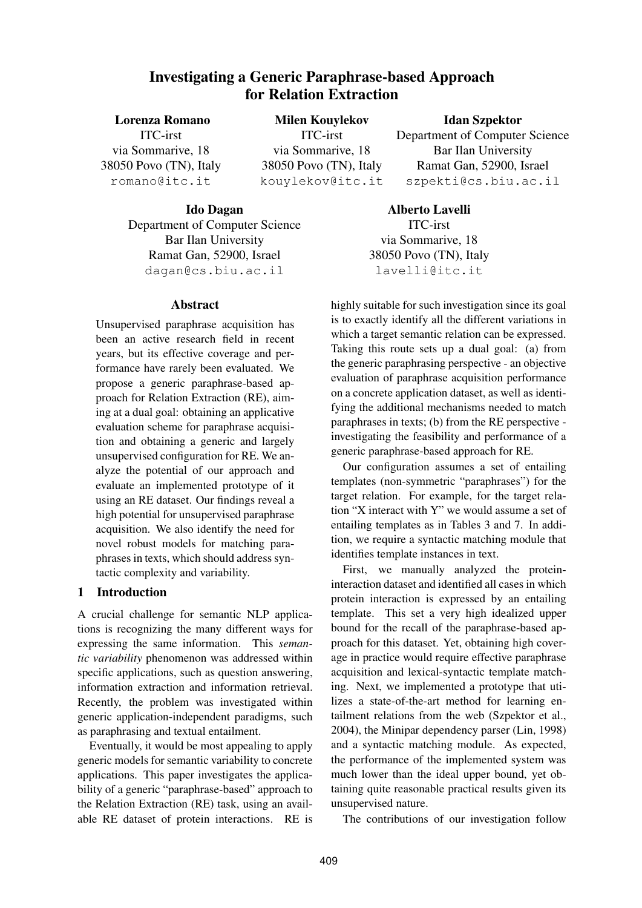# **Investigating a Generic Paraphrase-based Approach for Relation Extraction**

**Lorenza Romano** ITC-irst via Sommarive, 18 38050 Povo (TN), Italy romano@itc.it **Milen Kouylekov** ITC-irst via Sommarive, 18 38050 Povo (TN), Italy kouylekov@itc.it

**Idan Szpektor**

Department of Computer Science Bar Ilan University Ramat Gan, 52900, Israel szpekti@cs.biu.ac.il

**Ido Dagan**

Department of Computer Science Bar Ilan University Ramat Gan, 52900, Israel dagan@cs.biu.ac.il

### **Abstract**

Unsupervised paraphrase acquisition has been an active research field in recent years, but its effective coverage and performance have rarely been evaluated. We propose a generic paraphrase-based approach for Relation Extraction (RE), aiming at a dual goal: obtaining an applicative evaluation scheme for paraphrase acquisition and obtaining a generic and largely unsupervised configuration for RE. We analyze the potential of our approach and evaluate an implemented prototype of it using an RE dataset. Our findings reveal a high potential for unsupervised paraphrase acquisition. We also identify the need for novel robust models for matching paraphrases in texts, which should address syntactic complexity and variability.

# **1 Introduction**

A crucial challenge for semantic NLP applications is recognizing the many different ways for expressing the same information. This *semantic variability* phenomenon was addressed within specific applications, such as question answering, information extraction and information retrieval. Recently, the problem was investigated within generic application-independent paradigms, such as paraphrasing and textual entailment.

Eventually, it would be most appealing to apply generic models for semantic variability to concrete applications. This paper investigates the applicability of a generic "paraphrase-based" approach to the Relation Extraction (RE) task, using an available RE dataset of protein interactions. RE is

**Alberto Lavelli** ITC-irst via Sommarive, 18 38050 Povo (TN), Italy lavelli@itc.it

highly suitable for such investigation since its goal is to exactly identify all the different variations in which a target semantic relation can be expressed. Taking this route sets up a dual goal: (a) from the generic paraphrasing perspective - an objective evaluation of paraphrase acquisition performance on a concrete application dataset, as well as identifying the additional mechanisms needed to match paraphrases in texts; (b) from the RE perspective investigating the feasibility and performance of a generic paraphrase-based approach for RE.

Our configuration assumes a set of entailing templates (non-symmetric "paraphrases") for the target relation. For example, for the target relation "X interact with Y" we would assume a set of entailing templates as in Tables 3 and 7. In addition, we require a syntactic matching module that identifies template instances in text.

First, we manually analyzed the proteininteraction dataset and identified all cases in which protein interaction is expressed by an entailing template. This set a very high idealized upper bound for the recall of the paraphrase-based approach for this dataset. Yet, obtaining high coverage in practice would require effective paraphrase acquisition and lexical-syntactic template matching. Next, we implemented a prototype that utilizes a state-of-the-art method for learning entailment relations from the web (Szpektor et al., 2004), the Minipar dependency parser (Lin, 1998) and a syntactic matching module. As expected, the performance of the implemented system was much lower than the ideal upper bound, yet obtaining quite reasonable practical results given its unsupervised nature.

The contributions of our investigation follow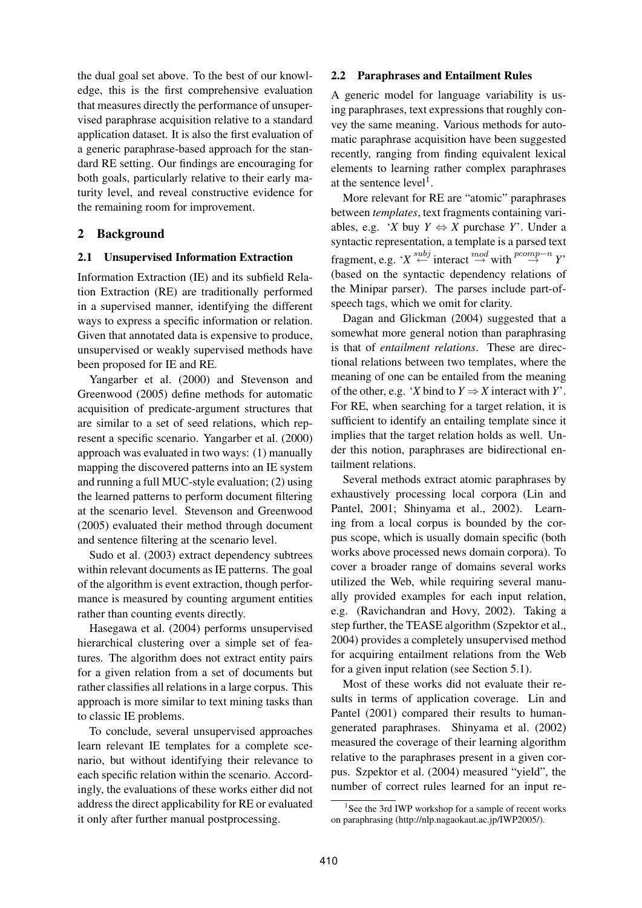the dual goal set above. To the best of our knowledge, this is the first comprehensive evaluation that measures directly the performance of unsupervised paraphrase acquisition relative to a standard application dataset. It is also the first evaluation of a generic paraphrase-based approach for the standard RE setting. Our findings are encouraging for both goals, particularly relative to their early maturity level, and reveal constructive evidence for the remaining room for improvement.

# **2 Background**

### **2.1 Unsupervised Information Extraction**

Information Extraction (IE) and its subfield Relation Extraction (RE) are traditionally performed in a supervised manner, identifying the different ways to express a specific information or relation. Given that annotated data is expensive to produce, unsupervised or weakly supervised methods have been proposed for IE and RE.

Yangarber et al. (2000) and Stevenson and Greenwood (2005) define methods for automatic acquisition of predicate-argument structures that are similar to a set of seed relations, which represent a specific scenario. Yangarber et al. (2000) approach was evaluated in two ways: (1) manually mapping the discovered patterns into an IE system and running a full MUC-style evaluation; (2) using the learned patterns to perform document filtering at the scenario level. Stevenson and Greenwood (2005) evaluated their method through document and sentence filtering at the scenario level.

Sudo et al. (2003) extract dependency subtrees within relevant documents as IE patterns. The goal of the algorithm is event extraction, though performance is measured by counting argument entities rather than counting events directly.

Hasegawa et al. (2004) performs unsupervised hierarchical clustering over a simple set of features. The algorithm does not extract entity pairs for a given relation from a set of documents but rather classifies all relations in a large corpus. This approach is more similar to text mining tasks than to classic IE problems.

To conclude, several unsupervised approaches learn relevant IE templates for a complete scenario, but without identifying their relevance to each specific relation within the scenario. Accordingly, the evaluations of these works either did not address the direct applicability for RE or evaluated it only after further manual postprocessing.

### **2.2 Paraphrases and Entailment Rules**

A generic model for language variability is using paraphrases, text expressions that roughly convey the same meaning. Various methods for automatic paraphrase acquisition have been suggested recently, ranging from finding equivalent lexical elements to learning rather complex paraphrases at the sentence  $level<sup>1</sup>$ .

More relevant for RE are "atomic" paraphrases between *templates*, text fragments containing variables, e.g. '*X* buy  $Y \Leftrightarrow X$  purchase *Y*'. Under a syntactic representation, a template is a parsed text fragment, e.g. ' $X \stackrel{subj}{\leftarrow}$  interact  $\stackrel{mod}{\rightarrow}$  with  $\stackrel{pcomp-n}{\rightarrow} Y'$ (based on the syntactic dependency relations of the Minipar parser). The parses include part-ofspeech tags, which we omit for clarity.

Dagan and Glickman (2004) suggested that a somewhat more general notion than paraphrasing is that of *entailment relations*. These are directional relations between two templates, where the meaning of one can be entailed from the meaning of the other, e.g. '*X* bind to  $Y \Rightarrow X$  interact with *Y*'. For RE, when searching for a target relation, it is sufficient to identify an entailing template since it implies that the target relation holds as well. Under this notion, paraphrases are bidirectional entailment relations.

Several methods extract atomic paraphrases by exhaustively processing local corpora (Lin and Pantel, 2001; Shinyama et al., 2002). Learning from a local corpus is bounded by the corpus scope, which is usually domain specific (both works above processed news domain corpora). To cover a broader range of domains several works utilized the Web, while requiring several manually provided examples for each input relation, e.g. (Ravichandran and Hovy, 2002). Taking a step further, the TEASE algorithm (Szpektor et al., 2004) provides a completely unsupervised method for acquiring entailment relations from the Web for a given input relation (see Section 5.1).

Most of these works did not evaluate their results in terms of application coverage. Lin and Pantel (2001) compared their results to humangenerated paraphrases. Shinyama et al. (2002) measured the coverage of their learning algorithm relative to the paraphrases present in a given corpus. Szpektor et al. (2004) measured "yield", the number of correct rules learned for an input re-

<sup>&</sup>lt;sup>1</sup>See the 3rd IWP workshop for a sample of recent works on paraphrasing (http://nlp.nagaokaut.ac.jp/IWP2005/).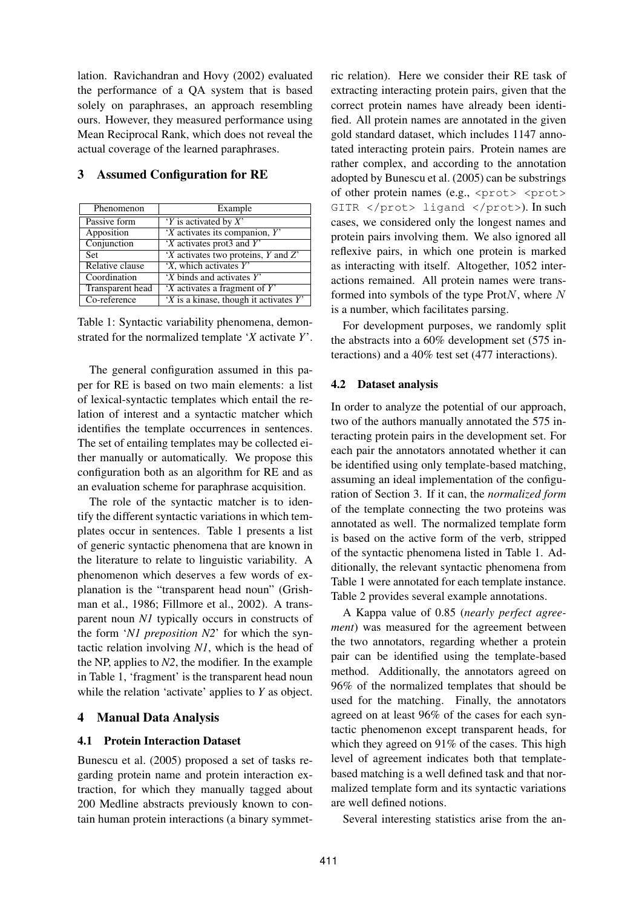lation. Ravichandran and Hovy (2002) evaluated the performance of a QA system that is based solely on paraphrases, an approach resembling ours. However, they measured performance using Mean Reciprocal Rank, which does not reveal the actual coverage of the learned paraphrases.

| Phenomenon              | Example                                   |
|-------------------------|-------------------------------------------|
| Passive form            | 'Y is activated by $X'$                   |
| Apposition              | $'X$ activates its companion, $Y'$        |
| Conjunction             | $X$ activates prot3 and Y'                |
| Set                     | 'X activates two proteins, Y and Z'       |
| Relative clause         | $X$ , which activates $Y'$                |
| Coordination            | $X$ binds and activates $Y'$              |
| <b>Transparent head</b> | 'X activates a fragment of Y'             |
| Co-reference            | $X$ is a kinase, though it activates $Y'$ |

## **3 Assumed Configuration for RE**

Table 1: Syntactic variability phenomena, demonstrated for the normalized template '*X* activate *Y*'.

The general configuration assumed in this paper for RE is based on two main elements: a list of lexical-syntactic templates which entail the relation of interest and a syntactic matcher which identifies the template occurrences in sentences. The set of entailing templates may be collected either manually or automatically. We propose this configuration both as an algorithm for RE and as an evaluation scheme for paraphrase acquisition.

The role of the syntactic matcher is to identify the different syntactic variations in which templates occur in sentences. Table 1 presents a list of generic syntactic phenomena that are known in the literature to relate to linguistic variability. A phenomenon which deserves a few words of explanation is the "transparent head noun" (Grishman et al., 1986; Fillmore et al., 2002). A transparent noun *N1* typically occurs in constructs of the form '*N1 preposition N2*' for which the syntactic relation involving *N1*, which is the head of the NP, applies to *N2*, the modifier. In the example in Table 1, 'fragment' is the transparent head noun while the relation 'activate' applies to *Y* as object.

### **4 Manual Data Analysis**

## **4.1 Protein Interaction Dataset**

Bunescu et al. (2005) proposed a set of tasks regarding protein name and protein interaction extraction, for which they manually tagged about 200 Medline abstracts previously known to contain human protein interactions (a binary symmetric relation). Here we consider their RE task of extracting interacting protein pairs, given that the correct protein names have already been identified. All protein names are annotated in the given gold standard dataset, which includes 1147 annotated interacting protein pairs. Protein names are rather complex, and according to the annotation adopted by Bunescu et al. (2005) can be substrings of other protein names (e.g.,  $\langle \text{prot}\rangle$   $\langle \text{prot}\rangle$ GITR </prot> ligand </prot>). In such cases, we considered only the longest names and protein pairs involving them. We also ignored all reflexive pairs, in which one protein is marked as interacting with itself. Altogether, 1052 interactions remained. All protein names were transformed into symbols of the type  $ProtN$ , where N is a number, which facilitates parsing.

For development purposes, we randomly split the abstracts into a 60% development set (575 interactions) and a 40% test set (477 interactions).

### **4.2 Dataset analysis**

In order to analyze the potential of our approach, two of the authors manually annotated the 575 interacting protein pairs in the development set. For each pair the annotators annotated whether it can be identified using only template-based matching, assuming an ideal implementation of the configuration of Section 3. If it can, the *normalized form* of the template connecting the two proteins was annotated as well. The normalized template form is based on the active form of the verb, stripped of the syntactic phenomena listed in Table 1. Additionally, the relevant syntactic phenomena from Table 1 were annotated for each template instance. Table 2 provides several example annotations.

A Kappa value of 0.85 (*nearly perfect agreement*) was measured for the agreement between the two annotators, regarding whether a protein pair can be identified using the template-based method. Additionally, the annotators agreed on 96% of the normalized templates that should be used for the matching. Finally, the annotators agreed on at least 96% of the cases for each syntactic phenomenon except transparent heads, for which they agreed on 91% of the cases. This high level of agreement indicates both that templatebased matching is a well defined task and that normalized template form and its syntactic variations are well defined notions.

Several interesting statistics arise from the an-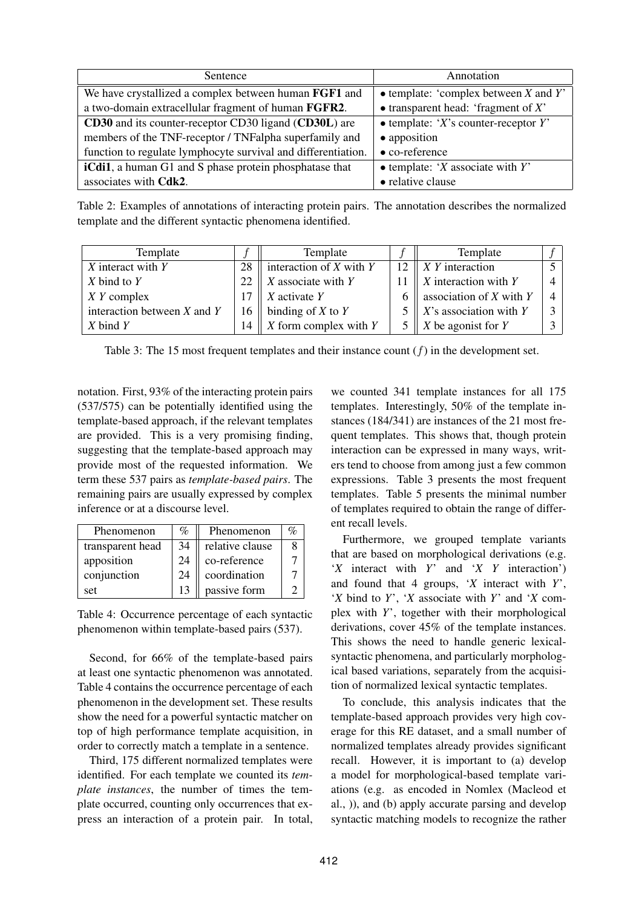| Sentence                                                       | Annotation                                    |  |
|----------------------------------------------------------------|-----------------------------------------------|--|
| We have crystallized a complex between human FGF1 and          | $\bullet$ template: 'complex between X and Y' |  |
| a two-domain extracellular fragment of human FGFR2.            | $\bullet$ transparent head: 'fragment of X'   |  |
| CD30 and its counter-receptor CD30 ligand (CD30L) are          | $\bullet$ template: 'X's counter-receptor Y'  |  |
| members of the TNF-receptor / TNFalpha superfamily and         | • apposition                                  |  |
| function to regulate lymphocyte survival and differentiation.  | $\bullet$ co-reference                        |  |
| <b>iCdi1</b> , a human G1 and S phase protein phosphatase that | $\bullet$ template: 'X associate with Y'      |  |
| associates with Cdk2.                                          | • relative clause                             |  |

Table 2: Examples of annotations of interacting protein pairs. The annotation describes the normalized template and the different syntactic phenomena identified.

| Template                        |    | Template                       | Template                       |  |
|---------------------------------|----|--------------------------------|--------------------------------|--|
| X interact with Y               | 28 | interaction of $X$ with $Y$    | 12 $\parallel$ X Y interaction |  |
| $X$ bind to $Y$                 | 22 | $\parallel$ X associate with Y | 11   X interaction with Y      |  |
| $X$ Y complex                   |    | $\parallel$ X activate Y       | 6   association of X with Y    |  |
| interaction between $X$ and $Y$ |    | 16   binding of X to Y         | 5    X's association with Y    |  |
| $X$ bind $Y$                    |    | 14    X form complex with Y    | 5   X be agonist for Y         |  |

Table 3: The 15 most frequent templates and their instance count  $(f)$  in the development set.

notation. First, 93% of the interacting protein pairs (537/575) can be potentially identified using the template-based approach, if the relevant templates are provided. This is a very promising finding, suggesting that the template-based approach may provide most of the requested information. We term these 537 pairs as *template-based pairs*. The remaining pairs are usually expressed by complex inference or at a discourse level.

| Phenomenon       | $\mathcal{O}_0$ | Phenomenon      |  |
|------------------|-----------------|-----------------|--|
| transparent head | 34              | relative clause |  |
| apposition       | 24              | co-reference    |  |
| conjunction      | 24              | coordination    |  |
| set              | 13              | passive form    |  |

Table 4: Occurrence percentage of each syntactic phenomenon within template-based pairs (537).

Second, for 66% of the template-based pairs at least one syntactic phenomenon was annotated. Table 4 contains the occurrence percentage of each phenomenon in the development set. These results show the need for a powerful syntactic matcher on top of high performance template acquisition, in order to correctly match a template in a sentence.

Third, 175 different normalized templates were identified. For each template we counted its *template instances*, the number of times the template occurred, counting only occurrences that express an interaction of a protein pair. In total,

we counted 341 template instances for all 175 templates. Interestingly, 50% of the template instances (184/341) are instances of the 21 most frequent templates. This shows that, though protein interaction can be expressed in many ways, writers tend to choose from among just a few common expressions. Table 3 presents the most frequent templates. Table 5 presents the minimal number of templates required to obtain the range of different recall levels.

Furthermore, we grouped template variants that are based on morphological derivations (e.g. '*X* interact with *Y*' and '*X Y* interaction') and found that 4 groups, '*X* interact with *Y*', '*X* bind to *Y*', '*X* associate with *Y*' and '*X* complex with *Y*', together with their morphological derivations, cover 45% of the template instances. This shows the need to handle generic lexicalsyntactic phenomena, and particularly morphological based variations, separately from the acquisition of normalized lexical syntactic templates.

To conclude, this analysis indicates that the template-based approach provides very high coverage for this RE dataset, and a small number of normalized templates already provides significant recall. However, it is important to (a) develop a model for morphological-based template variations (e.g. as encoded in Nomlex (Macleod et al., )), and (b) apply accurate parsing and develop syntactic matching models to recognize the rather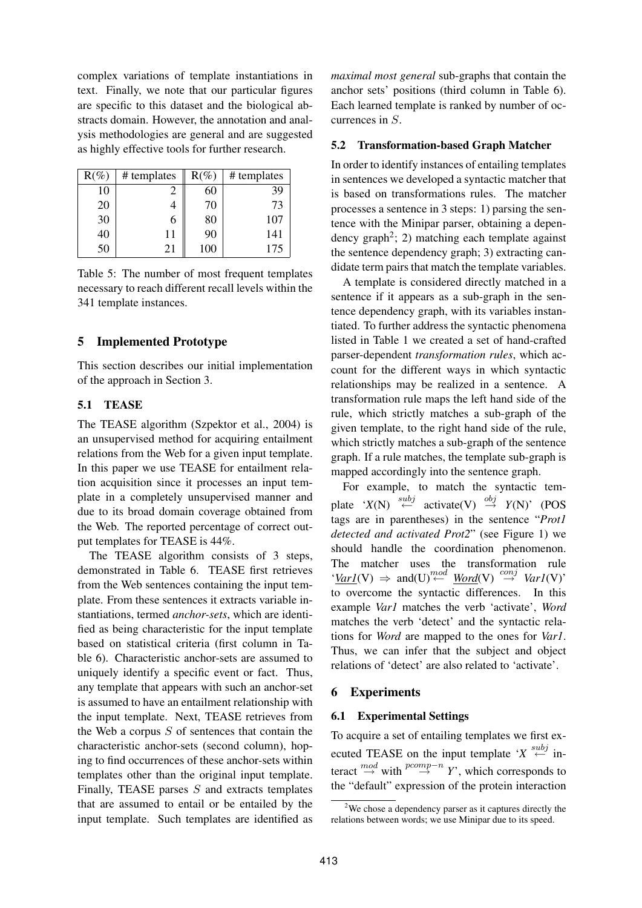complex variations of template instantiations in text. Finally, we note that our particular figures are specific to this dataset and the biological abstracts domain. However, the annotation and analysis methodologies are general and are suggested as highly effective tools for further research.

| $R(\%)$ | # templates | $R(\%)$ | # templates |
|---------|-------------|---------|-------------|
| 10      |             | 60      | 39          |
| 20      |             | 70      | 73          |
| 30      |             | 80      | 107         |
| 40      | 11          | 90      | 141         |
| 50      | 21          | 100     | 175         |

Table 5: The number of most frequent templates necessary to reach different recall levels within the 341 template instances.

# **5 Implemented Prototype**

This section describes our initial implementation of the approach in Section 3.

# **5.1 TEASE**

The TEASE algorithm (Szpektor et al., 2004) is an unsupervised method for acquiring entailment relations from the Web for a given input template. In this paper we use TEASE for entailment relation acquisition since it processes an input template in a completely unsupervised manner and due to its broad domain coverage obtained from the Web. The reported percentage of correct output templates for TEASE is 44%.

The TEASE algorithm consists of 3 steps, demonstrated in Table 6. TEASE first retrieves from the Web sentences containing the input template. From these sentences it extracts variable instantiations, termed *anchor-sets*, which are identified as being characteristic for the input template based on statistical criteria (first column in Table 6). Characteristic anchor-sets are assumed to uniquely identify a specific event or fact. Thus, any template that appears with such an anchor-set is assumed to have an entailment relationship with the input template. Next, TEASE retrieves from the Web a corpus  $S$  of sentences that contain the characteristic anchor-sets (second column), hoping to find occurrences of these anchor-sets within templates other than the original input template. Finally, TEASE parses  $S$  and extracts templates that are assumed to entail or be entailed by the input template. Such templates are identified as *maximal most general* sub-graphs that contain the anchor sets' positions (third column in Table 6). Each learned template is ranked by number of occurrences in S.

### **5.2 Transformation-based Graph Matcher**

In order to identify instances of entailing templates in sentences we developed a syntactic matcher that is based on transformations rules. The matcher processes a sentence in 3 steps: 1) parsing the sentence with the Minipar parser, obtaining a dependency graph<sup>2</sup>; 2) matching each template against the sentence dependency graph; 3) extracting candidate term pairs that match the template variables.

A template is considered directly matched in a sentence if it appears as a sub-graph in the sentence dependency graph, with its variables instantiated. To further address the syntactic phenomena listed in Table 1 we created a set of hand-crafted parser-dependent *transformation rules*, which account for the different ways in which syntactic relationships may be realized in a sentence. A transformation rule maps the left hand side of the rule, which strictly matches a sub-graph of the given template, to the right hand side of the rule, which strictly matches a sub-graph of the sentence graph. If a rule matches, the template sub-graph is mapped accordingly into the sentence graph.

For example, to match the syntactic template ' $X(N) \stackrel{subj}{\leftarrow}$  activate(V)  $\stackrel{obj}{\rightarrow} Y(N)'$  (POS tags are in parentheses) in the sentence "*Prot1 detected and activated Prot2*" (see Figure 1) we should handle the coordination phenomenon. The matcher uses the transformation rule  $'\underline{VarI}(V) \Rightarrow \text{and}(U) \stackrel{mod}{\leftarrow} \underline{Word}(V) \stackrel{conj}{\rightarrow} \text{VarI}(V)'$ to overcome the syntactic differences. In this example *Var1* matches the verb 'activate', *Word* matches the verb 'detect' and the syntactic relations for *Word* are mapped to the ones for *Var1*. Thus, we can infer that the subject and object relations of 'detect' are also related to 'activate'.

# **6 Experiments**

### **6.1 Experimental Settings**

To acquire a set of entailing templates we first executed TEASE on the input template ' $X \stackrel{subj}{\leftarrow}$  interact  $\stackrel{mod}{\rightarrow}$  with  $\stackrel{pcomp-n}{\rightarrow} Y$ , which corresponds to the "default" expression of the protein interaction

 $2$ We chose a dependency parser as it captures directly the relations between words; we use Minipar due to its speed.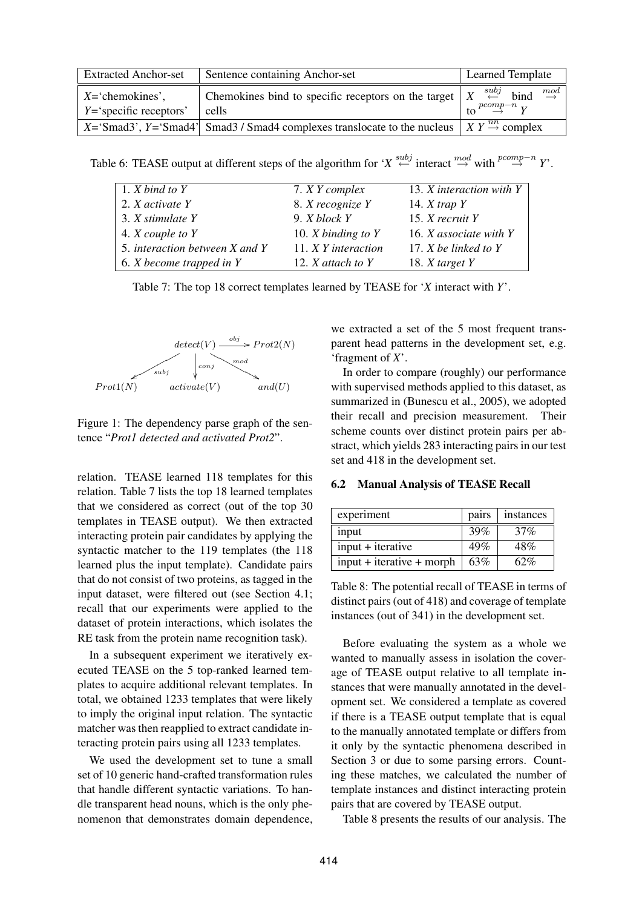| <b>Extracted Anchor-set</b>                              | Sentence containing Anchor-set                                                                                                      | <b>Learned Template</b>                                                |  |
|----------------------------------------------------------|-------------------------------------------------------------------------------------------------------------------------------------|------------------------------------------------------------------------|--|
| $X = \text{'chemokines'},$<br>$Y =$ 'specific receptors' | Chemokines bind to specific receptors on the target $X \stackrel{subj}{\leftarrow}$ bind<br>cells                                   | $\overset{mod}{\rightarrow}$<br>to $\stackrel{pcomp-n}{\rightarrow} Y$ |  |
|                                                          | $X = \text{Smad3}$ , $Y = \text{Smad4}$ Smad3 / Smad4 complexes translocate to the nucleus $X Y \stackrel{nn}{\rightarrow}$ complex |                                                                        |  |

Table 6: TEASE output at different steps of the algorithm for '*X*  $\overset{subj}{\leftarrow}$  interact  $\overset{mod}{\rightarrow}$  with  $\overset{pcomp-n}{\rightarrow}$  *Y*'.

| 1. $X$ bind to $Y$                     | 7. X Y complex         | 13. X interaction with Y |
|----------------------------------------|------------------------|--------------------------|
| 2. X activate Y                        | 8. X recognize Y       | 14. $X$ trap $Y$         |
| 3. X stimulate Y                       | 9. $X$ block $Y$       | 15. $X$ recruit Y        |
| 4. X couple to Y                       | 10. $X$ binding to $Y$ | 16. X associate with Y   |
| 5. interaction between X and Y         | 11. X Y interaction    | 17. $X$ be linked to $Y$ |
| 6. <i>X</i> become trapped in <i>Y</i> | 12. $X$ attach to $Y$  | 18. $X$ target $Y$       |

Table 7: The top 18 correct templates learned by TEASE for '*X* interact with *Y*'.



Figure 1: The dependency parse graph of the sentence "*Prot1 detected and activated Prot2*".

relation. TEASE learned 118 templates for this relation. Table 7 lists the top 18 learned templates that we considered as correct (out of the top 30 templates in TEASE output). We then extracted interacting protein pair candidates by applying the syntactic matcher to the 119 templates (the 118 learned plus the input template). Candidate pairs that do not consist of two proteins, as tagged in the input dataset, were filtered out (see Section 4.1; recall that our experiments were applied to the dataset of protein interactions, which isolates the RE task from the protein name recognition task).

In a subsequent experiment we iteratively executed TEASE on the 5 top-ranked learned templates to acquire additional relevant templates. In total, we obtained 1233 templates that were likely to imply the original input relation. The syntactic matcher was then reapplied to extract candidate interacting protein pairs using all 1233 templates.

We used the development set to tune a small set of 10 generic hand-crafted transformation rules that handle different syntactic variations. To handle transparent head nouns, which is the only phenomenon that demonstrates domain dependence,

we extracted a set of the 5 most frequent transparent head patterns in the development set, e.g. 'fragment of *X*'.

In order to compare (roughly) our performance with supervised methods applied to this dataset, as summarized in (Bunescu et al., 2005), we adopted their recall and precision measurement. Their scheme counts over distinct protein pairs per abstract, which yields 283 interacting pairs in our test set and 418 in the development set.

#### **6.2 Manual Analysis of TEASE Recall**

| experiment                  | pairs | instances |  |
|-----------------------------|-------|-----------|--|
| input                       | 39%   | 37%       |  |
| $input + iterative$         | 49%   | 48%       |  |
| $input + iterative + morph$ | 63%   | 62%       |  |

Table 8: The potential recall of TEASE in terms of distinct pairs (out of 418) and coverage of template instances (out of 341) in the development set.

Before evaluating the system as a whole we wanted to manually assess in isolation the coverage of TEASE output relative to all template instances that were manually annotated in the development set. We considered a template as covered if there is a TEASE output template that is equal to the manually annotated template or differs from it only by the syntactic phenomena described in Section 3 or due to some parsing errors. Counting these matches, we calculated the number of template instances and distinct interacting protein pairs that are covered by TEASE output.

Table 8 presents the results of our analysis. The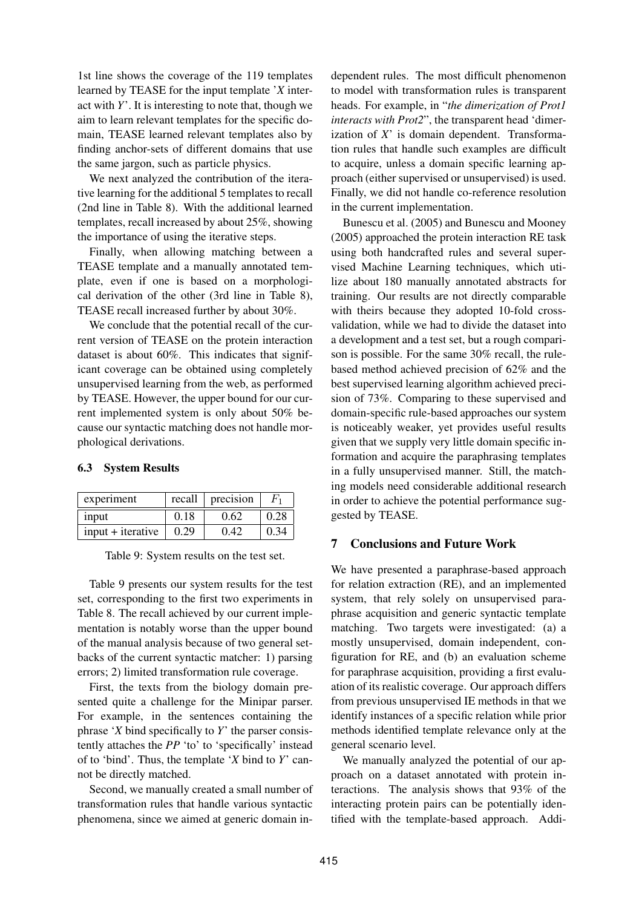1st line shows the coverage of the 119 templates learned by TEASE for the input template '*X* interact with *Y*'. It is interesting to note that, though we aim to learn relevant templates for the specific domain, TEASE learned relevant templates also by finding anchor-sets of different domains that use the same jargon, such as particle physics.

We next analyzed the contribution of the iterative learning for the additional 5 templates to recall (2nd line in Table 8). With the additional learned templates, recall increased by about 25%, showing the importance of using the iterative steps.

Finally, when allowing matching between a TEASE template and a manually annotated template, even if one is based on a morphological derivation of the other (3rd line in Table 8), TEASE recall increased further by about 30%.

We conclude that the potential recall of the current version of TEASE on the protein interaction dataset is about 60%. This indicates that significant coverage can be obtained using completely unsupervised learning from the web, as performed by TEASE. However, the upper bound for our current implemented system is only about 50% because our syntactic matching does not handle morphological derivations.

### **6.3 System Results**

| experiment          | recall | precision |  |
|---------------------|--------|-----------|--|
| input               | 0.18   | 0.62      |  |
| $input + iterative$ | 0.29   | 042       |  |

Table 9: System results on the test set.

Table 9 presents our system results for the test set, corresponding to the first two experiments in Table 8. The recall achieved by our current implementation is notably worse than the upper bound of the manual analysis because of two general setbacks of the current syntactic matcher: 1) parsing errors; 2) limited transformation rule coverage.

First, the texts from the biology domain presented quite a challenge for the Minipar parser. For example, in the sentences containing the phrase '*X* bind specifically to *Y*' the parser consistently attaches the *PP* 'to' to 'specifically' instead of to 'bind'. Thus, the template '*X* bind to *Y*' cannot be directly matched.

Second, we manually created a small number of transformation rules that handle various syntactic phenomena, since we aimed at generic domain in-

dependent rules. The most difficult phenomenon to model with transformation rules is transparent heads. For example, in "*the dimerization of Prot1 interacts with Prot2*", the transparent head 'dimerization of *X*' is domain dependent. Transformation rules that handle such examples are difficult to acquire, unless a domain specific learning approach (either supervised or unsupervised) is used. Finally, we did not handle co-reference resolution in the current implementation.

Bunescu et al. (2005) and Bunescu and Mooney (2005) approached the protein interaction RE task using both handcrafted rules and several supervised Machine Learning techniques, which utilize about 180 manually annotated abstracts for training. Our results are not directly comparable with theirs because they adopted 10-fold crossvalidation, while we had to divide the dataset into a development and a test set, but a rough comparison is possible. For the same 30% recall, the rulebased method achieved precision of 62% and the best supervised learning algorithm achieved precision of 73%. Comparing to these supervised and domain-specific rule-based approaches our system is noticeably weaker, yet provides useful results given that we supply very little domain specific information and acquire the paraphrasing templates in a fully unsupervised manner. Still, the matching models need considerable additional research in order to achieve the potential performance suggested by TEASE.

# **7 Conclusions and Future Work**

We have presented a paraphrase-based approach for relation extraction (RE), and an implemented system, that rely solely on unsupervised paraphrase acquisition and generic syntactic template matching. Two targets were investigated: (a) a mostly unsupervised, domain independent, configuration for RE, and (b) an evaluation scheme for paraphrase acquisition, providing a first evaluation of its realistic coverage. Our approach differs from previous unsupervised IE methods in that we identify instances of a specific relation while prior methods identified template relevance only at the general scenario level.

We manually analyzed the potential of our approach on a dataset annotated with protein interactions. The analysis shows that 93% of the interacting protein pairs can be potentially identified with the template-based approach. Addi